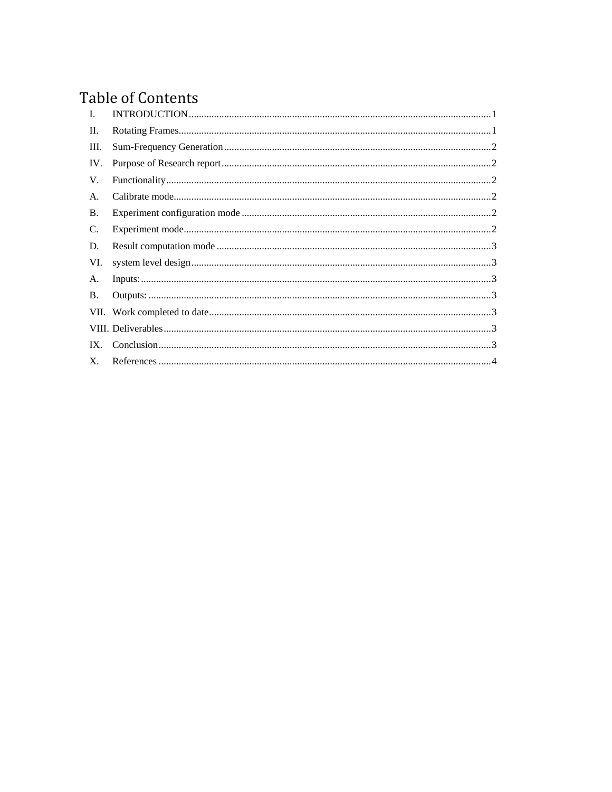# **Table of Contents**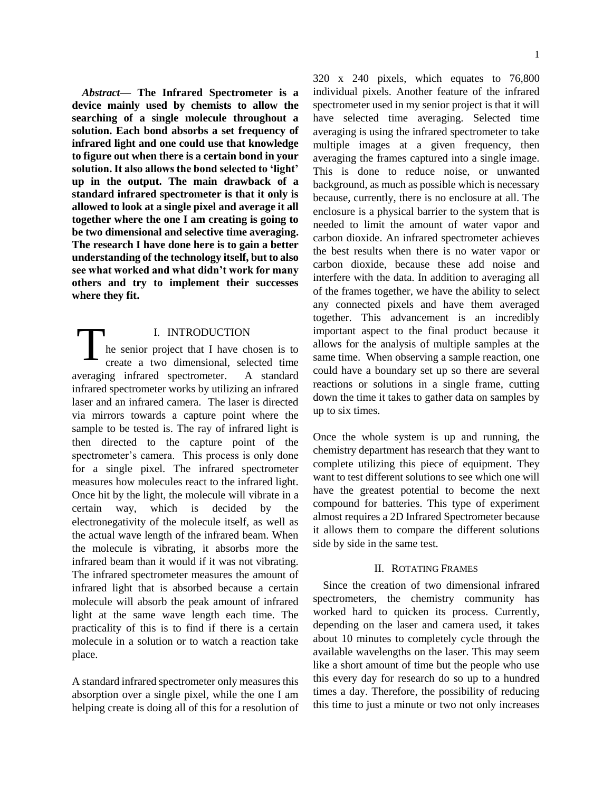*Abstract***— The Infrared Spectrometer is a device mainly used by chemists to allow the searching of a single molecule throughout a solution. Each bond absorbs a set frequency of infrared light and one could use that knowledge to figure out when there is a certain bond in your solution. It also allows the bond selected to 'light' up in the output. The main drawback of a standard infrared spectrometer is that it only is allowed to look at a single pixel and average it all together where the one I am creating is going to be two dimensional and selective time averaging. The research I have done here is to gain a better understanding of the technology itself, but to also see what worked and what didn't work for many others and try to implement their successes where they fit.** 

<span id="page-1-0"></span>I. INTRODUCTION he senior project that I have chosen is to create a two dimensional, selected time averaging infrared spectrometer. A standard infrared spectrometer works by utilizing an infrared laser and an infrared camera. The laser is directed via mirrors towards a capture point where the sample to be tested is. The ray of infrared light is then directed to the capture point of the spectrometer's camera. This process is only done for a single pixel. The infrared spectrometer measures how molecules react to the infrared light. Once hit by the light, the molecule will vibrate in a certain way, which is decided by the electronegativity of the molecule itself, as well as the actual wave length of the infrared beam. When the molecule is vibrating, it absorbs more the infrared beam than it would if it was not vibrating. The infrared spectrometer measures the amount of infrared light that is absorbed because a certain molecule will absorb the peak amount of infrared light at the same wave length each time. The practicality of this is to find if there is a certain molecule in a solution or to watch a reaction take place. T

A standard infrared spectrometer only measures this absorption over a single pixel, while the one I am helping create is doing all of this for a resolution of 320 x 240 pixels, which equates to 76,800 individual pixels. Another feature of the infrared spectrometer used in my senior project is that it will have selected time averaging. Selected time averaging is using the infrared spectrometer to take multiple images at a given frequency, then averaging the frames captured into a single image. This is done to reduce noise, or unwanted background, as much as possible which is necessary because, currently, there is no enclosure at all. The enclosure is a physical barrier to the system that is needed to limit the amount of water vapor and carbon dioxide. An infrared spectrometer achieves the best results when there is no water vapor or carbon dioxide, because these add noise and interfere with the data. In addition to averaging all of the frames together, we have the ability to select any connected pixels and have them averaged together. This advancement is an incredibly important aspect to the final product because it allows for the analysis of multiple samples at the same time. When observing a sample reaction, one could have a boundary set up so there are several reactions or solutions in a single frame, cutting down the time it takes to gather data on samples by up to six times.

Once the whole system is up and running, the chemistry department has research that they want to complete utilizing this piece of equipment. They want to test different solutions to see which one will have the greatest potential to become the next compound for batteries. This type of experiment almost requires a 2D Infrared Spectrometer because it allows them to compare the different solutions side by side in the same test.

## II. ROTATING FRAMES

<span id="page-1-1"></span>Since the creation of two dimensional infrared spectrometers, the chemistry community has worked hard to quicken its process. Currently, depending on the laser and camera used, it takes about 10 minutes to completely cycle through the available wavelengths on the laser. This may seem like a short amount of time but the people who use this every day for research do so up to a hundred times a day. Therefore, the possibility of reducing this time to just a minute or two not only increases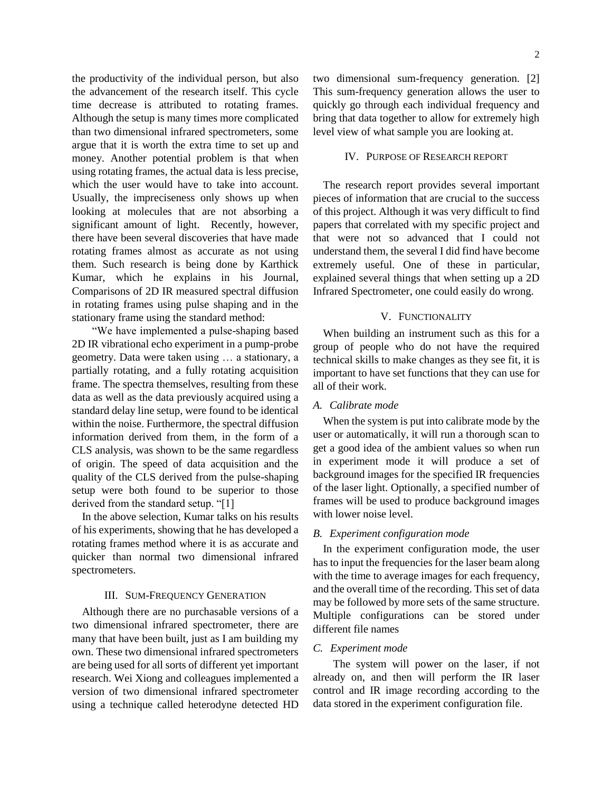the productivity of the individual person, but also the advancement of the research itself. This cycle time decrease is attributed to rotating frames. Although the setup is many times more complicated than two dimensional infrared spectrometers, some argue that it is worth the extra time to set up and money. Another potential problem is that when using rotating frames, the actual data is less precise, which the user would have to take into account. Usually, the impreciseness only shows up when looking at molecules that are not absorbing a significant amount of light. Recently, however, there have been several discoveries that have made rotating frames almost as accurate as not using them. Such research is being done by Karthick Kumar, which he explains in his Journal, Comparisons of 2D IR measured spectral diffusion in rotating frames using pulse shaping and in the stationary frame using the standard method:

"We have implemented a pulse-shaping based 2D IR vibrational echo experiment in a pump-probe geometry. Data were taken using … a stationary, a partially rotating, and a fully rotating acquisition frame. The spectra themselves, resulting from these data as well as the data previously acquired using a standard delay line setup, were found to be identical within the noise. Furthermore, the spectral diffusion information derived from them, in the form of a CLS analysis, was shown to be the same regardless of origin. The speed of data acquisition and the quality of the CLS derived from the pulse-shaping setup were both found to be superior to those derived from the standard setup. "[1]

In the above selection, Kumar talks on his results of his experiments, showing that he has developed a rotating frames method where it is as accurate and quicker than normal two dimensional infrared spectrometers.

#### III. SUM-FREQUENCY GENERATION

<span id="page-2-0"></span>Although there are no purchasable versions of a two dimensional infrared spectrometer, there are many that have been built, just as I am building my own. These two dimensional infrared spectrometers are being used for all sorts of different yet important research. Wei Xiong and colleagues implemented a version of two dimensional infrared spectrometer using a technique called heterodyne detected HD

two dimensional sum-frequency generation. [2] This sum-frequency generation allows the user to quickly go through each individual frequency and bring that data together to allow for extremely high level view of what sample you are looking at.

## <span id="page-2-1"></span>IV. PURPOSE OF RESEARCH REPORT

The research report provides several important pieces of information that are crucial to the success of this project. Although it was very difficult to find papers that correlated with my specific project and that were not so advanced that I could not understand them, the several I did find have become extremely useful. One of these in particular, explained several things that when setting up a 2D Infrared Spectrometer, one could easily do wrong.

## V. FUNCTIONALITY

<span id="page-2-2"></span>When building an instrument such as this for a group of people who do not have the required technical skills to make changes as they see fit, it is important to have set functions that they can use for all of their work.

## <span id="page-2-3"></span>*A. Calibrate mode*

When the system is put into calibrate mode by the user or automatically, it will run a thorough scan to get a good idea of the ambient values so when run in experiment mode it will produce a set of background images for the specified IR frequencies of the laser light. Optionally, a specified number of frames will be used to produce background images with lower noise level.

#### <span id="page-2-4"></span>*B. Experiment configuration mode*

In the experiment configuration mode, the user has to input the frequencies for the laser beam along with the time to average images for each frequency, and the overall time of the recording. This set of data may be followed by more sets of the same structure. Multiple configurations can be stored under different file names

## <span id="page-2-5"></span>*C. Experiment mode*

The system will power on the laser, if not already on, and then will perform the IR laser control and IR image recording according to the data stored in the experiment configuration file.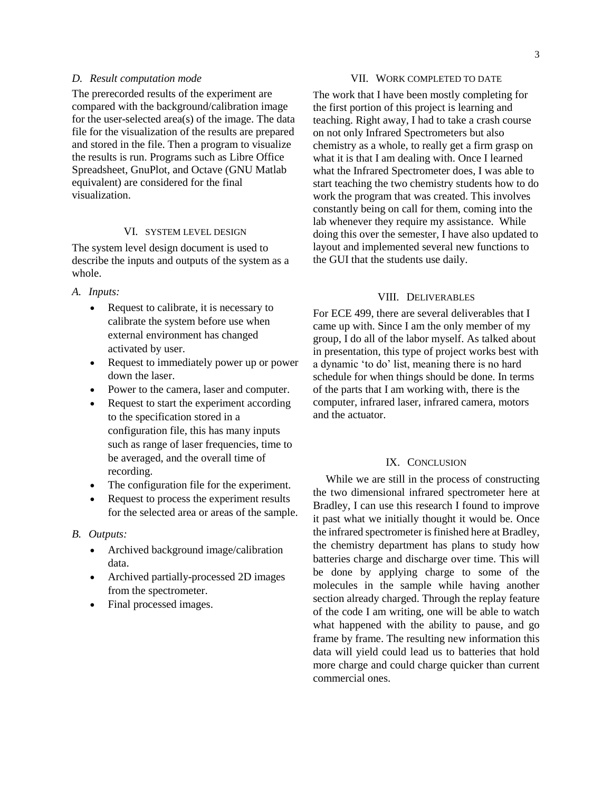## <span id="page-3-0"></span>*D. Result computation mode*

The prerecorded results of the experiment are compared with the background/calibration image for the user-selected area(s) of the image. The data file for the visualization of the results are prepared and stored in the file. Then a program to visualize the results is run. Programs such as Libre Office Spreadsheet, GnuPlot, and Octave (GNU Matlab equivalent) are considered for the final visualization.

## VI. SYSTEM LEVEL DESIGN

<span id="page-3-1"></span>The system level design document is used to describe the inputs and outputs of the system as a whole.

#### <span id="page-3-2"></span>*A. Inputs:*

- Request to calibrate, it is necessary to calibrate the system before use when external environment has changed activated by user.
- Request to immediately power up or power down the laser.
- Power to the camera, laser and computer.
- Request to start the experiment according to the specification stored in a configuration file, this has many inputs such as range of laser frequencies, time to be averaged, and the overall time of recording.
- The configuration file for the experiment.
- Request to process the experiment results for the selected area or areas of the sample.

## <span id="page-3-3"></span>*B. Outputs:*

- Archived background image/calibration data.
- Archived partially-processed 2D images from the spectrometer.
- Final processed images.

### VII. WORK COMPLETED TO DATE

<span id="page-3-4"></span>The work that I have been mostly completing for the first portion of this project is learning and teaching. Right away, I had to take a crash course on not only Infrared Spectrometers but also chemistry as a whole, to really get a firm grasp on what it is that I am dealing with. Once I learned what the Infrared Spectrometer does, I was able to start teaching the two chemistry students how to do work the program that was created. This involves constantly being on call for them, coming into the lab whenever they require my assistance. While doing this over the semester, I have also updated to layout and implemented several new functions to the GUI that the students use daily.

## VIII. DELIVERABLES

<span id="page-3-5"></span>For ECE 499, there are several deliverables that I came up with. Since I am the only member of my group, I do all of the labor myself. As talked about in presentation, this type of project works best with a dynamic 'to do' list, meaning there is no hard schedule for when things should be done. In terms of the parts that I am working with, there is the computer, infrared laser, infrared camera, motors and the actuator.

## IX. CONCLUSION

<span id="page-3-6"></span>While we are still in the process of constructing the two dimensional infrared spectrometer here at Bradley, I can use this research I found to improve it past what we initially thought it would be. Once the infrared spectrometer is finished here at Bradley, the chemistry department has plans to study how batteries charge and discharge over time. This will be done by applying charge to some of the molecules in the sample while having another section already charged. Through the replay feature of the code I am writing, one will be able to watch what happened with the ability to pause, and go frame by frame. The resulting new information this data will yield could lead us to batteries that hold more charge and could charge quicker than current commercial ones.